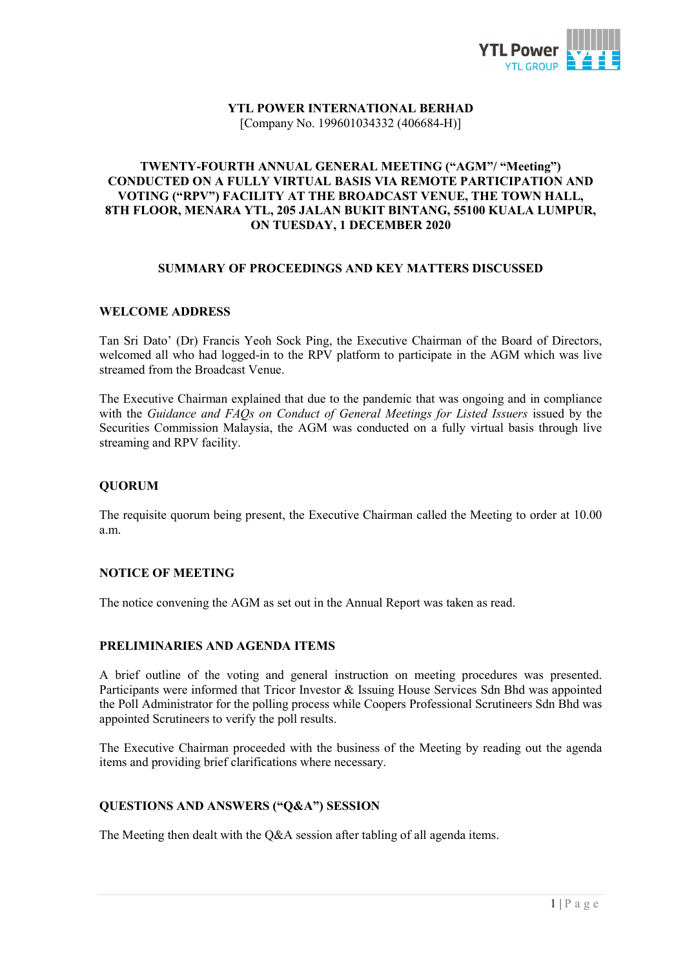

#### YTL POWER INTERNATIONAL BERHAD [Company No. 199601034332 (406684-H)]

#### TWENTY-FOURTH ANNUAL GENERAL MEETING ("AGM"/ "Meeting") CONDUCTED ON A FULLY VIRTUAL BASIS VIA REMOTE PARTICIPATION AND VOTING ("RPV") FACILITY AT THE BROADCAST VENUE, THE TOWN HALL, 8TH FLOOR, MENARA YTL, 205 JALAN BUKIT BINTANG, 55100 KUALA LUMPUR, ON TUESDAY, 1 DECEMBER 2020

#### SUMMARY OF PROCEEDINGS AND KEY MATTERS DISCUSSED

#### WELCOME ADDRESS

Tan Sri Dato' (Dr) Francis Yeoh Sock Ping, the Executive Chairman of the Board of Directors, welcomed all who had logged-in to the RPV platform to participate in the AGM which was live streamed from the Broadcast Venue.

The Executive Chairman explained that due to the pandemic that was ongoing and in compliance with the Guidance and FAQs on Conduct of General Meetings for Listed Issuers issued by the Securities Commission Malaysia, the AGM was conducted on a fully virtual basis through live streaming and RPV facility.

#### QUORUM

The requisite quorum being present, the Executive Chairman called the Meeting to order at 10.00 a.m.

#### NOTICE OF MEETING

The notice convening the AGM as set out in the Annual Report was taken as read.

#### PRELIMINARIES AND AGENDA ITEMS

A brief outline of the voting and general instruction on meeting procedures was presented. Participants were informed that Tricor Investor & Issuing House Services Sdn Bhd was appointed the Poll Administrator for the polling process while Coopers Professional Scrutineers Sdn Bhd was appointed Scrutineers to verify the poll results.

The Executive Chairman proceeded with the business of the Meeting by reading out the agenda items and providing brief clarifications where necessary.

# QUESTIONS AND ANSWERS ("Q&A") SESSION

The Meeting then dealt with the Q&A session after tabling of all agenda items.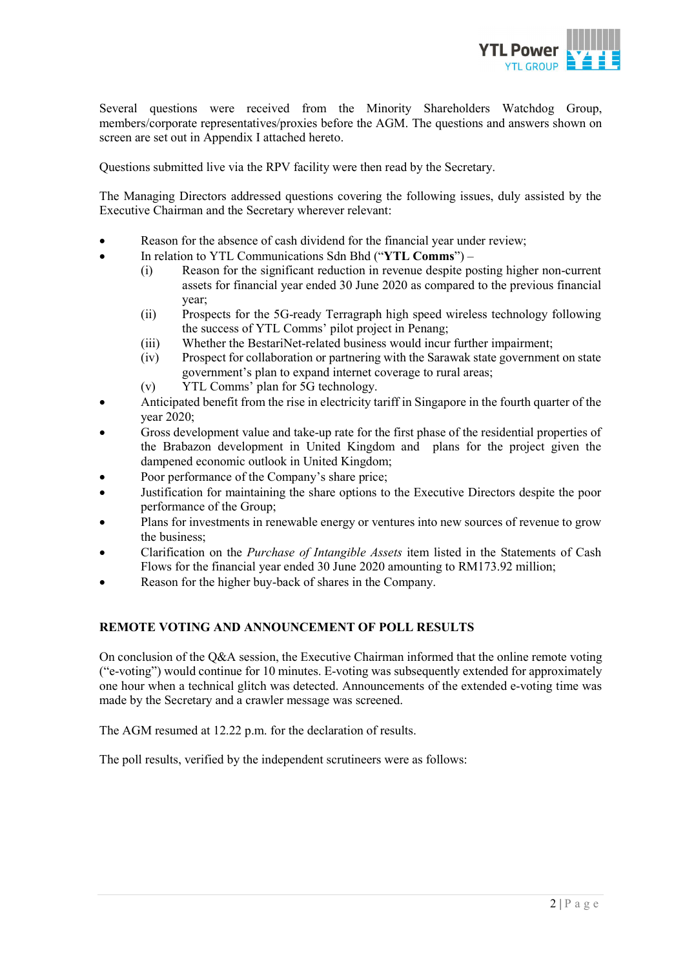

Several questions were received from the Minority Shareholders Watchdog Group, members/corporate representatives/proxies before the AGM. The questions and answers shown on screen are set out in Appendix I attached hereto.

Questions submitted live via the RPV facility were then read by the Secretary.

The Managing Directors addressed questions covering the following issues, duly assisted by the Executive Chairman and the Secretary wherever relevant:

- Reason for the absence of cash dividend for the financial year under review;
	- In relation to YTL Communications Sdn Bhd ("YTL Comms")
		- (i) Reason for the significant reduction in revenue despite posting higher non-current assets for financial year ended 30 June 2020 as compared to the previous financial year;
		- (ii) Prospects for the 5G-ready Terragraph high speed wireless technology following the success of YTL Comms' pilot project in Penang;
		- (iii) Whether the BestariNet-related business would incur further impairment;
		- (iv) Prospect for collaboration or partnering with the Sarawak state government on state government's plan to expand internet coverage to rural areas;
		- (v) YTL Comms' plan for 5G technology.
- Anticipated benefit from the rise in electricity tariff in Singapore in the fourth quarter of the year 2020;
- Gross development value and take-up rate for the first phase of the residential properties of the Brabazon development in United Kingdom and plans for the project given the dampened economic outlook in United Kingdom;
- Poor performance of the Company's share price;
- Justification for maintaining the share options to the Executive Directors despite the poor performance of the Group;
- Plans for investments in renewable energy or ventures into new sources of revenue to grow the business;
- Clarification on the Purchase of Intangible Assets item listed in the Statements of Cash Flows for the financial year ended 30 June 2020 amounting to RM173.92 million;
- Reason for the higher buy-back of shares in the Company.

# REMOTE VOTING AND ANNOUNCEMENT OF POLL RESULTS

On conclusion of the Q&A session, the Executive Chairman informed that the online remote voting ("e-voting") would continue for 10 minutes. E-voting was subsequently extended for approximately one hour when a technical glitch was detected. Announcements of the extended e-voting time was made by the Secretary and a crawler message was screened.

The AGM resumed at 12.22 p.m. for the declaration of results.

The poll results, verified by the independent scrutineers were as follows: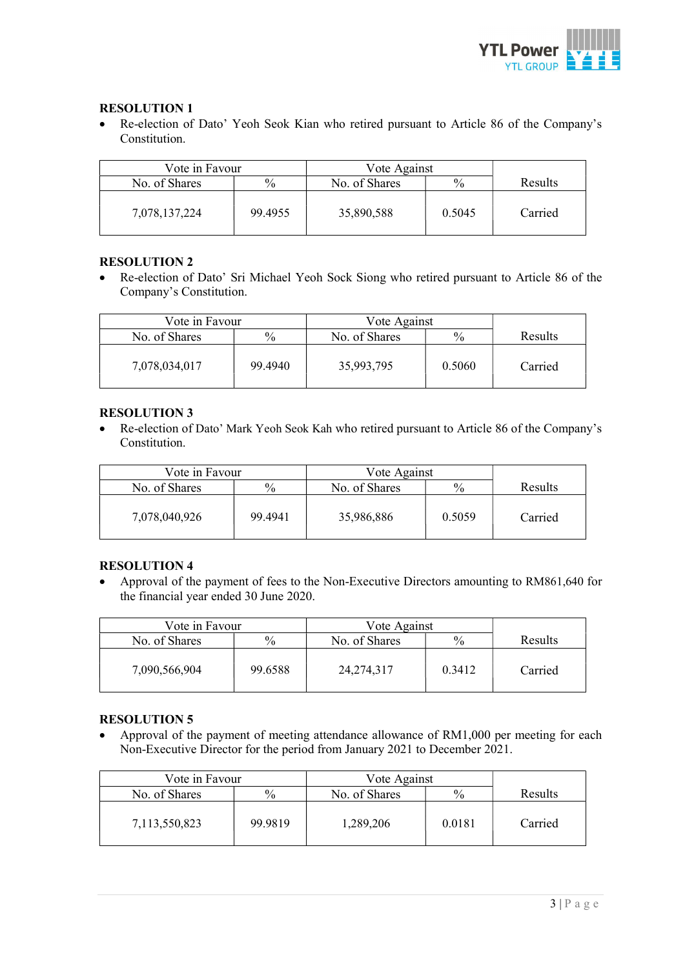

#### RESOLUTION 1

 Re-election of Dato' Yeoh Seok Kian who retired pursuant to Article 86 of the Company's Constitution.

| Vote in Favour |         | Vote Against  |               |                |
|----------------|---------|---------------|---------------|----------------|
| No. of Shares  | $\%$    | No. of Shares | $\frac{0}{0}$ | <b>Results</b> |
| 7,078,137,224  | 99.4955 | 35,890,588    | 0.5045        | Carried        |

#### RESOLUTION 2

 Re-election of Dato' Sri Michael Yeoh Sock Siong who retired pursuant to Article 86 of the Company's Constitution.

| Vote in Favour |         | Vote Against  |               |         |
|----------------|---------|---------------|---------------|---------|
| No. of Shares  | $\%$    | No. of Shares | $\frac{0}{0}$ | Results |
| 7,078,034,017  | 99.4940 | 35,993,795    | 0.5060        | Carried |

#### RESOLUTION 3

 Re-election of Dato' Mark Yeoh Seok Kah who retired pursuant to Article 86 of the Company's Constitution.

| Vote in Favour |         | Vote Against  |               |                |
|----------------|---------|---------------|---------------|----------------|
| No. of Shares  | $\%$    | No. of Shares | $\frac{0}{0}$ | <b>Results</b> |
| 7,078,040,926  | 99.4941 | 35,986,886    | 0.5059        | Carried        |

# RESOLUTION 4

 Approval of the payment of fees to the Non-Executive Directors amounting to RM861,640 for the financial year ended 30 June 2020.

| Vote in Favour |         | Vote Against  |               |                |
|----------------|---------|---------------|---------------|----------------|
| No. of Shares  | $\%$    | No. of Shares | $\frac{0}{0}$ | <b>Results</b> |
| 7,090,566,904  | 99.6588 | 24, 274, 317  | 0.3412        | Carried        |

# RESOLUTION 5

 Approval of the payment of meeting attendance allowance of RM1,000 per meeting for each Non-Executive Director for the period from January 2021 to December 2021.

| Vote in Favour |               | Vote Against  |               |                |
|----------------|---------------|---------------|---------------|----------------|
| No. of Shares  | $\frac{0}{0}$ | No. of Shares | $\frac{0}{0}$ | <b>Results</b> |
| 7,113,550,823  | 99.9819       | 1,289,206     | 0.0181        | Carried        |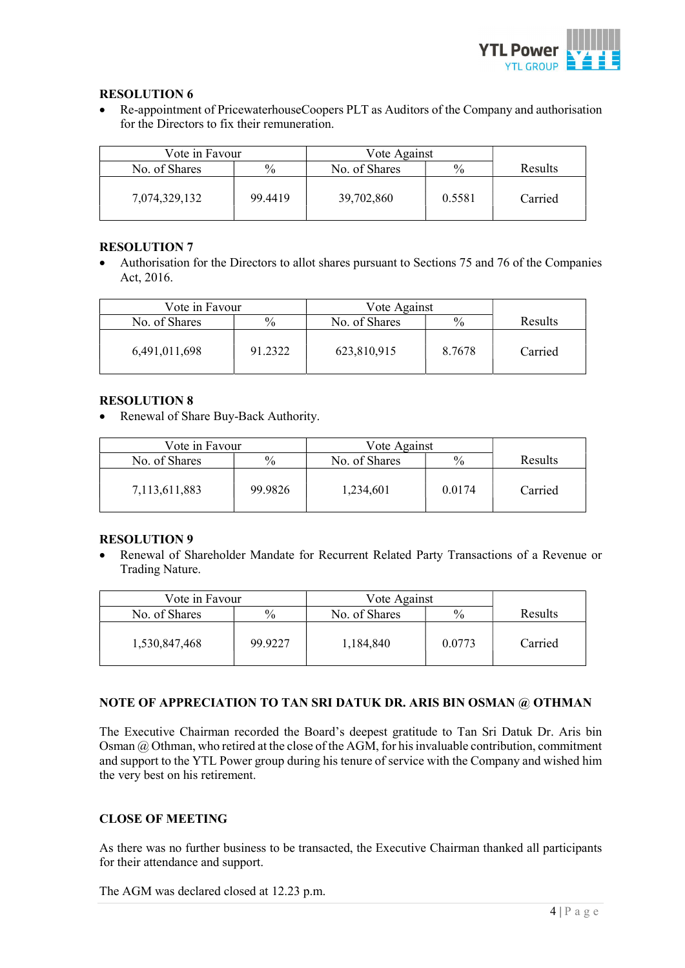

# RESOLUTION 6

 Re-appointment of PricewaterhouseCoopers PLT as Auditors of the Company and authorisation for the Directors to fix their remuneration.

| Vote in Favour |         | Vote Against  |               |         |
|----------------|---------|---------------|---------------|---------|
| No. of Shares  | $\%$    | No. of Shares | $\frac{0}{0}$ | Results |
| 7,074,329,132  | 99.4419 | 39,702,860    | 0.5581        | Carried |

# RESOLUTION 7

 Authorisation for the Directors to allot shares pursuant to Sections 75 and 76 of the Companies Act, 2016.

| Vote in Favour |               | Vote Against  |               |                |
|----------------|---------------|---------------|---------------|----------------|
| No. of Shares  | $\frac{0}{0}$ | No. of Shares | $\frac{0}{0}$ | <b>Results</b> |
| 6,491,011,698  | 91.2322       | 623,810,915   | 8.7678        | Carried        |

# RESOLUTION 8

• Renewal of Share Buy-Back Authority.

| Vote in Favour |         | Vote Against  |               |                |
|----------------|---------|---------------|---------------|----------------|
| No. of Shares  | $\%$    | No. of Shares | $\frac{0}{0}$ | <b>Results</b> |
| 7,113,611,883  | 99.9826 | 1,234,601     | 0.0174        | Carried        |

# RESOLUTION 9

 Renewal of Shareholder Mandate for Recurrent Related Party Transactions of a Revenue or Trading Nature.

| Vote in Favour |         | Vote Against  |               |                |
|----------------|---------|---------------|---------------|----------------|
| No. of Shares  | $\%$    | No. of Shares | $\frac{0}{0}$ | <b>Results</b> |
| 1,530,847,468  | 99.9227 | 1,184,840     | 0.0773        | Carried        |

# NOTE OF APPRECIATION TO TAN SRI DATUK DR. ARIS BIN OSMAN @ OTHMAN

The Executive Chairman recorded the Board's deepest gratitude to Tan Sri Datuk Dr. Aris bin Osman @ Othman, who retired at the close of the AGM, for his invaluable contribution, commitment and support to the YTL Power group during his tenure of service with the Company and wished him the very best on his retirement.

# CLOSE OF MEETING

As there was no further business to be transacted, the Executive Chairman thanked all participants for their attendance and support.

The AGM was declared closed at 12.23 p.m.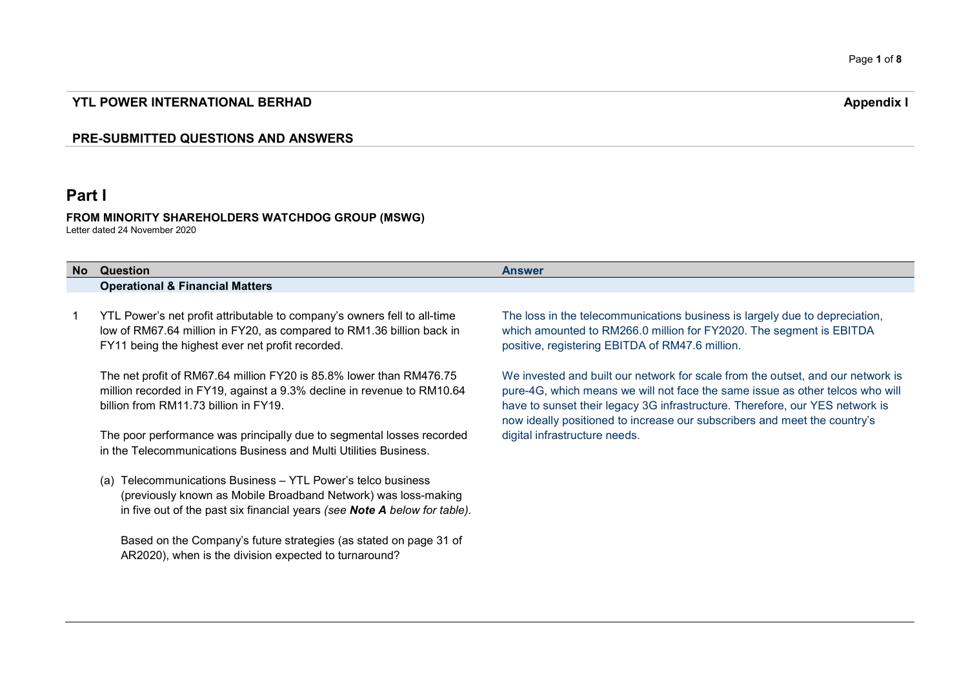# YTL POWER INTERNATIONAL BERHAD

# PRE-SUBMITTED QUESTIONS AND ANSWERS

# Part I

#### FROM MINORITY SHAREHOLDERS WATCHDOG GROUP (MSWG) Letter dated 24 November 2020

| No. | Question                                                                                                                                                                                                       | <b>Answer</b>                                                                                                                                                                                                                                                                                                                 |
|-----|----------------------------------------------------------------------------------------------------------------------------------------------------------------------------------------------------------------|-------------------------------------------------------------------------------------------------------------------------------------------------------------------------------------------------------------------------------------------------------------------------------------------------------------------------------|
|     | <b>Operational &amp; Financial Matters</b>                                                                                                                                                                     |                                                                                                                                                                                                                                                                                                                               |
|     |                                                                                                                                                                                                                |                                                                                                                                                                                                                                                                                                                               |
|     | YTL Power's net profit attributable to company's owners fell to all-time<br>low of RM67.64 million in FY20, as compared to RM1.36 billion back in<br>FY11 being the highest ever net profit recorded.          | The loss in the telecommunications business is largely due to depreciation,<br>which amounted to RM266.0 million for FY2020. The segment is EBITDA<br>positive, registering EBITDA of RM47.6 million.                                                                                                                         |
|     | The net profit of RM67.64 million FY20 is 85.8% lower than RM476.75<br>million recorded in FY19, against a 9.3% decline in revenue to RM10.64<br>billion from RM11.73 billion in FY19.                         | We invested and built our network for scale from the outset, and our network is<br>pure-4G, which means we will not face the same issue as other telcos who will<br>have to sunset their legacy 3G infrastructure. Therefore, our YES network is<br>now ideally positioned to increase our subscribers and meet the country's |
|     | The poor performance was principally due to segmental losses recorded<br>in the Telecommunications Business and Multi Utilities Business.                                                                      | digital infrastructure needs.                                                                                                                                                                                                                                                                                                 |
|     | Telecommunications Business - YTL Power's telco business<br>(a)<br>(previously known as Mobile Broadband Network) was loss-making<br>in five out of the past six financial years (see Note A below for table). |                                                                                                                                                                                                                                                                                                                               |

Based on the Company's future strategies (as stated on page 31 of AR2020), when is the division expected to turnaround?

Appendix I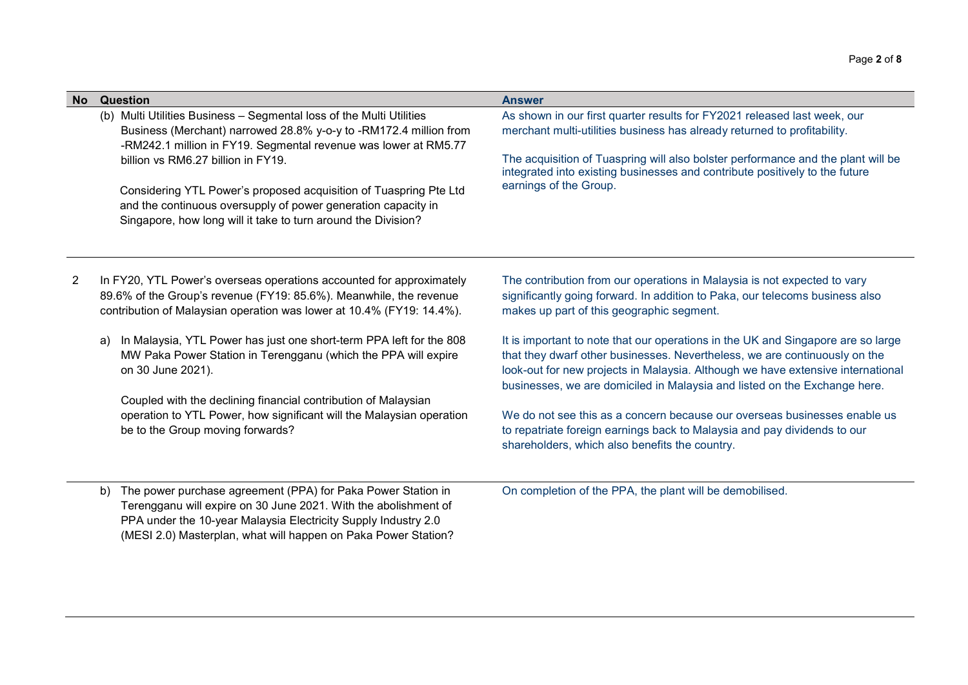| <b>No</b> | <b>Question</b>                                                                                                                                                                                                                                                                                                                                                                                                                                           | <b>Answer</b>                                                                                                                                                                                                                                                                                                                                     |
|-----------|-----------------------------------------------------------------------------------------------------------------------------------------------------------------------------------------------------------------------------------------------------------------------------------------------------------------------------------------------------------------------------------------------------------------------------------------------------------|---------------------------------------------------------------------------------------------------------------------------------------------------------------------------------------------------------------------------------------------------------------------------------------------------------------------------------------------------|
|           | (b) Multi Utilities Business - Segmental loss of the Multi Utilities<br>Business (Merchant) narrowed 28.8% y-o-y to -RM172.4 million from<br>-RM242.1 million in FY19. Segmental revenue was lower at RM5.77<br>billion vs RM6.27 billion in FY19.<br>Considering YTL Power's proposed acquisition of Tuaspring Pte Ltd<br>and the continuous oversupply of power generation capacity in<br>Singapore, how long will it take to turn around the Division? | As shown in our first quarter results for FY2021 released last week, our<br>merchant multi-utilities business has already returned to profitability.<br>The acquisition of Tuaspring will also bolster performance and the plant will be<br>integrated into existing businesses and contribute positively to the future<br>earnings of the Group. |
| 2         | In FY20, YTL Power's overseas operations accounted for approximately<br>89.6% of the Group's revenue (FY19: 85.6%). Meanwhile, the revenue<br>contribution of Malaysian operation was lower at 10.4% (FY19: 14.4%).                                                                                                                                                                                                                                       | The contribution from our operations in Malaysia is not expected to vary<br>significantly going forward. In addition to Paka, our telecoms business also<br>makes up part of this geographic segment.                                                                                                                                             |
|           | In Malaysia, YTL Power has just one short-term PPA left for the 808<br>a)<br>MW Paka Power Station in Terengganu (which the PPA will expire<br>on 30 June 2021).<br>Coupled with the declining financial contribution of Malaysian                                                                                                                                                                                                                        | It is important to note that our operations in the UK and Singapore are so large<br>that they dwarf other businesses. Nevertheless, we are continuously on the<br>look-out for new projects in Malaysia. Although we have extensive international<br>businesses, we are domiciled in Malaysia and listed on the Exchange here.                    |
|           | operation to YTL Power, how significant will the Malaysian operation<br>be to the Group moving forwards?                                                                                                                                                                                                                                                                                                                                                  | We do not see this as a concern because our overseas businesses enable us<br>to repatriate foreign earnings back to Malaysia and pay dividends to our<br>shareholders, which also benefits the country.                                                                                                                                           |
|           | The power purchase agreement (PPA) for Paka Power Station in<br>b)<br>Terengganu will expire on 30 June 2021. With the abolishment of<br>PPA under the 10-year Malaysia Electricity Supply Industry 2.0<br>(MESI 2.0) Masterplan, what will happen on Paka Power Station?                                                                                                                                                                                 | On completion of the PPA, the plant will be demobilised.                                                                                                                                                                                                                                                                                          |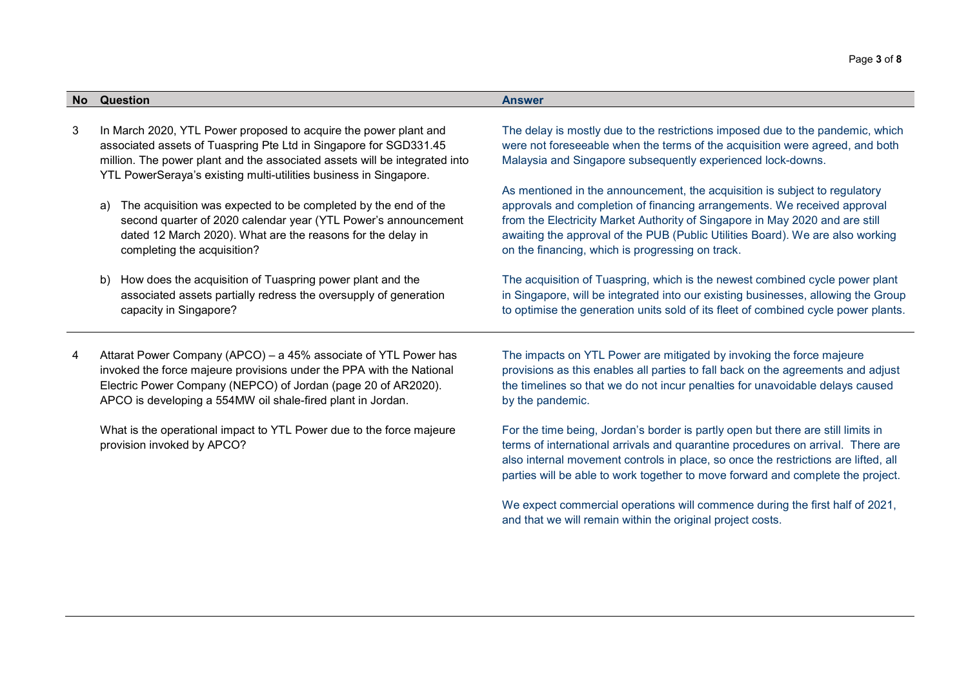| <b>No</b><br>Question<br><b>Answer</b> |  |  |
|----------------------------------------|--|--|
|                                        |  |  |

- 3 In March 2020, YTL Power proposed to acquire the power plant and associated assets of Tuaspring Pte Ltd in Singapore for SGD331.45 million. The power plant and the associated assets will be integrated into YTL PowerSeraya's existing multi-utilities business in Singapore.
	- a) The acquisition was expected to be completed by the end of the second quarter of 2020 calendar year (YTL Power's announcement dated 12 March 2020). What are the reasons for the delay in completing the acquisition?
	- b) How does the acquisition of Tuaspring power plant and the associated assets partially redress the oversupply of generation capacity in Singapore?
- 4 Attarat Power Company (APCO) a 45% associate of YTL Power has invoked the force majeure provisions under the PPA with the National Electric Power Company (NEPCO) of Jordan (page 20 of AR2020). APCO is developing a 554MW oil shale-fired plant in Jordan.

What is the operational impact to YTL Power due to the force majeure provision invoked by APCO?

The delay is mostly due to the restrictions imposed due to the pandemic, which were not foreseeable when the terms of the acquisition were agreed, and both Malaysia and Singapore subsequently experienced lock-downs.

As mentioned in the announcement, the acquisition is subject to regulatory approvals and completion of financing arrangements. We received approval from the Electricity Market Authority of Singapore in May 2020 and are still awaiting the approval of the PUB (Public Utilities Board). We are also working on the financing, which is progressing on track.

The acquisition of Tuaspring, which is the newest combined cycle power plant in Singapore, will be integrated into our existing businesses, allowing the Group to optimise the generation units sold of its fleet of combined cycle power plants.

The impacts on YTL Power are mitigated by invoking the force majeure provisions as this enables all parties to fall back on the agreements and adjust the timelines so that we do not incur penalties for unavoidable delays caused by the pandemic.

For the time being, Jordan's border is partly open but there are still limits in terms of international arrivals and quarantine procedures on arrival. There are also internal movement controls in place, so once the restrictions are lifted, all parties will be able to work together to move forward and complete the project.

We expect commercial operations will commence during the first half of 2021, and that we will remain within the original project costs.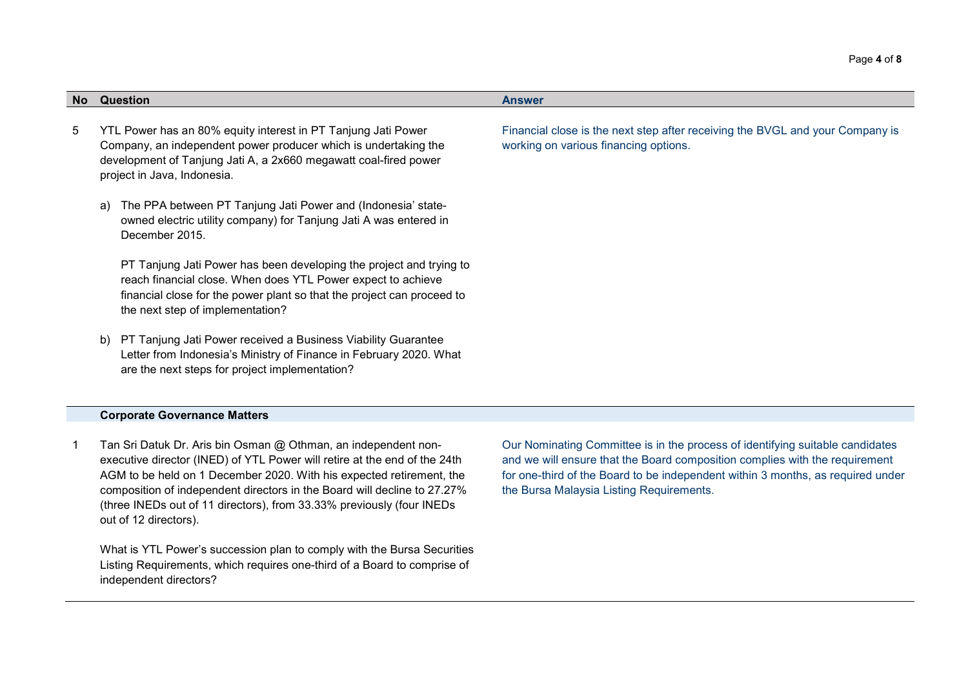| No. | Question                                                                                                                                                                                                                                          | <b>Answer</b>                                                                                                          |  |
|-----|---------------------------------------------------------------------------------------------------------------------------------------------------------------------------------------------------------------------------------------------------|------------------------------------------------------------------------------------------------------------------------|--|
| 5   | YTL Power has an 80% equity interest in PT Tanjung Jati Power<br>Company, an independent power producer which is undertaking the<br>development of Tanjung Jati A, a 2x660 megawatt coal-fired power<br>project in Java, Indonesia.               | Financial close is the next step after receiving the BVGL and your Company is<br>working on various financing options. |  |
|     | The PPA between PT Tanjung Jati Power and (Indonesia' state-<br>a)<br>owned electric utility company) for Tanjung Jati A was entered in<br>December 2015.                                                                                         |                                                                                                                        |  |
|     | PT Tanjung Jati Power has been developing the project and trying to<br>reach financial close. When does YTL Power expect to achieve<br>financial close for the power plant so that the project can proceed to<br>the next step of implementation? |                                                                                                                        |  |
|     | PT Tanjung Jati Power received a Business Viability Guarantee<br>b)<br>Letter from Indonesia's Ministry of Finance in February 2020. What<br>are the next steps for project implementation?                                                       |                                                                                                                        |  |

#### Corporate Governance Matters

1 Tan Sri Datuk Dr. Aris bin Osman @ Othman, an independent nonexecutive director (INED) of YTL Power will retire at the end of the 24th AGM to be held on 1 December 2020. With his expected retirement, the composition of independent directors in the Board will decline to 27.27% (three INEDs out of 11 directors), from 33.33% previously (four INEDs out of 12 directors).

What is YTL Power's succession plan to comply with the Bursa Securities Listing Requirements, which requires one-third of a Board to comprise of independent directors?

Our Nominating Committee is in the process of identifying suitable candidates and we will ensure that the Board composition complies with the requirement for one-third of the Board to be independent within 3 months, as required under the Bursa Malaysia Listing Requirements.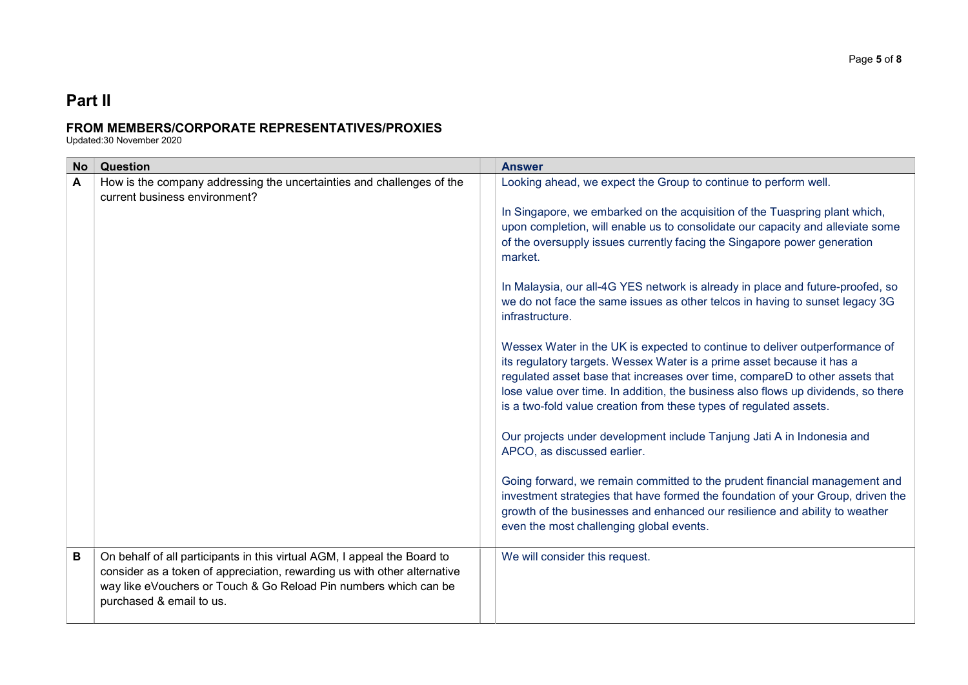# Part II

# FROM MEMBERS/CORPORATE REPRESENTATIVES/PROXIES

Updated:30 November 2020

| <b>No</b>    | Question                                                                                                                                                                                                                                             | <b>Answer</b>                                                                                                                                                                                                                                                                                                                                                                                                                                                                                                                                                                                                                                                                                                                                        |  |  |
|--------------|------------------------------------------------------------------------------------------------------------------------------------------------------------------------------------------------------------------------------------------------------|------------------------------------------------------------------------------------------------------------------------------------------------------------------------------------------------------------------------------------------------------------------------------------------------------------------------------------------------------------------------------------------------------------------------------------------------------------------------------------------------------------------------------------------------------------------------------------------------------------------------------------------------------------------------------------------------------------------------------------------------------|--|--|
| $\mathsf{A}$ | How is the company addressing the uncertainties and challenges of the<br>current business environment?                                                                                                                                               | Looking ahead, we expect the Group to continue to perform well.<br>In Singapore, we embarked on the acquisition of the Tuaspring plant which,<br>upon completion, will enable us to consolidate our capacity and alleviate some<br>of the oversupply issues currently facing the Singapore power generation<br>market.<br>In Malaysia, our all-4G YES network is already in place and future-proofed, so<br>we do not face the same issues as other telcos in having to sunset legacy 3G<br>infrastructure.<br>Wessex Water in the UK is expected to continue to deliver outperformance of<br>its regulatory targets. Wessex Water is a prime asset because it has a<br>regulated asset base that increases over time, compareD to other assets that |  |  |
|              |                                                                                                                                                                                                                                                      | lose value over time. In addition, the business also flows up dividends, so there<br>is a two-fold value creation from these types of regulated assets.<br>Our projects under development include Tanjung Jati A in Indonesia and<br>APCO, as discussed earlier.<br>Going forward, we remain committed to the prudent financial management and<br>investment strategies that have formed the foundation of your Group, driven the<br>growth of the businesses and enhanced our resilience and ability to weather<br>even the most challenging global events.                                                                                                                                                                                         |  |  |
| B            | On behalf of all participants in this virtual AGM, I appeal the Board to<br>consider as a token of appreciation, rewarding us with other alternative<br>way like eVouchers or Touch & Go Reload Pin numbers which can be<br>purchased & email to us. | We will consider this request.                                                                                                                                                                                                                                                                                                                                                                                                                                                                                                                                                                                                                                                                                                                       |  |  |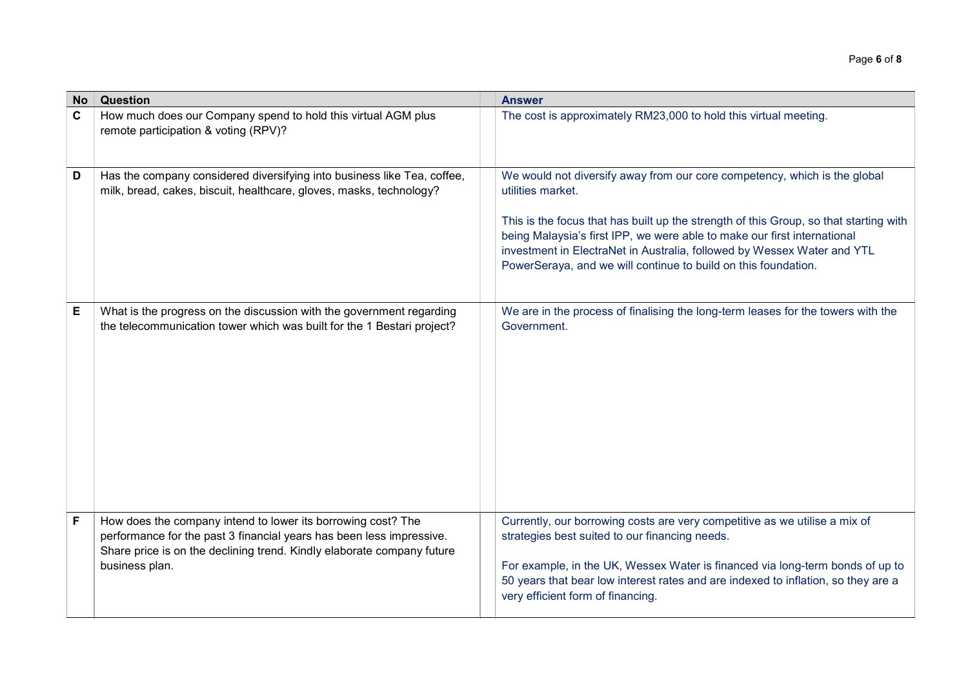| <b>No</b>    | Question<br><b>Answer</b>                                                                                                                                                                                                        |                                                                                                                                                                                                                                                                                                                                                                                                                  |  |  |  |
|--------------|----------------------------------------------------------------------------------------------------------------------------------------------------------------------------------------------------------------------------------|------------------------------------------------------------------------------------------------------------------------------------------------------------------------------------------------------------------------------------------------------------------------------------------------------------------------------------------------------------------------------------------------------------------|--|--|--|
| $\mathbf{C}$ | How much does our Company spend to hold this virtual AGM plus<br>remote participation & voting (RPV)?                                                                                                                            | The cost is approximately RM23,000 to hold this virtual meeting.                                                                                                                                                                                                                                                                                                                                                 |  |  |  |
| D            | Has the company considered diversifying into business like Tea, coffee,<br>milk, bread, cakes, biscuit, healthcare, gloves, masks, technology?                                                                                   | We would not diversify away from our core competency, which is the global<br>utilities market.<br>This is the focus that has built up the strength of this Group, so that starting with<br>being Malaysia's first IPP, we were able to make our first international<br>investment in ElectraNet in Australia, followed by Wessex Water and YTL<br>PowerSeraya, and we will continue to build on this foundation. |  |  |  |
| E            | What is the progress on the discussion with the government regarding<br>the telecommunication tower which was built for the 1 Bestari project?                                                                                   | We are in the process of finalising the long-term leases for the towers with the<br>Government.                                                                                                                                                                                                                                                                                                                  |  |  |  |
| F            | How does the company intend to lower its borrowing cost? The<br>performance for the past 3 financial years has been less impressive.<br>Share price is on the declining trend. Kindly elaborate company future<br>business plan. | Currently, our borrowing costs are very competitive as we utilise a mix of<br>strategies best suited to our financing needs.<br>For example, in the UK, Wessex Water is financed via long-term bonds of up to<br>50 years that bear low interest rates and are indexed to inflation, so they are a<br>very efficient form of financing.                                                                          |  |  |  |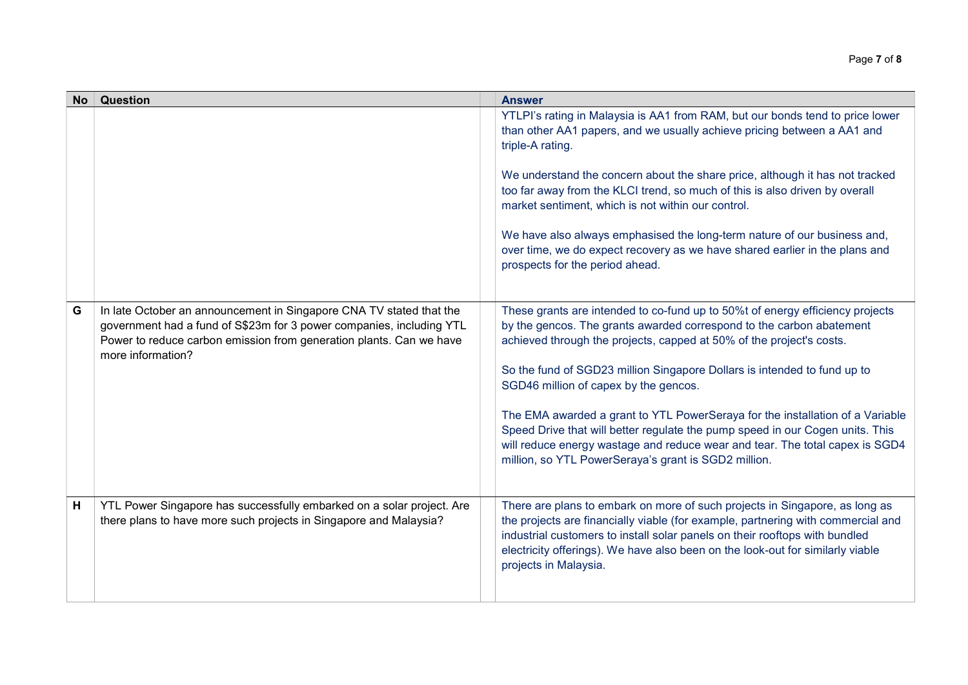| <b>No</b> | <b>Question</b>                                                                                                                                                                                                                         | <b>Answer</b>                                                                                                                                                                                                                                                                                                                                                                                                                                                                                                                                                                                                                                                |
|-----------|-----------------------------------------------------------------------------------------------------------------------------------------------------------------------------------------------------------------------------------------|--------------------------------------------------------------------------------------------------------------------------------------------------------------------------------------------------------------------------------------------------------------------------------------------------------------------------------------------------------------------------------------------------------------------------------------------------------------------------------------------------------------------------------------------------------------------------------------------------------------------------------------------------------------|
|           |                                                                                                                                                                                                                                         | YTLPI's rating in Malaysia is AA1 from RAM, but our bonds tend to price lower<br>than other AA1 papers, and we usually achieve pricing between a AA1 and<br>triple-A rating.<br>We understand the concern about the share price, although it has not tracked<br>too far away from the KLCI trend, so much of this is also driven by overall<br>market sentiment, which is not within our control.<br>We have also always emphasised the long-term nature of our business and,<br>over time, we do expect recovery as we have shared earlier in the plans and<br>prospects for the period ahead.                                                              |
| G         | In late October an announcement in Singapore CNA TV stated that the<br>government had a fund of S\$23m for 3 power companies, including YTL<br>Power to reduce carbon emission from generation plants. Can we have<br>more information? | These grants are intended to co-fund up to 50%t of energy efficiency projects<br>by the gencos. The grants awarded correspond to the carbon abatement<br>achieved through the projects, capped at 50% of the project's costs.<br>So the fund of SGD23 million Singapore Dollars is intended to fund up to<br>SGD46 million of capex by the gencos.<br>The EMA awarded a grant to YTL PowerSeraya for the installation of a Variable<br>Speed Drive that will better regulate the pump speed in our Cogen units. This<br>will reduce energy wastage and reduce wear and tear. The total capex is SGD4<br>million, so YTL PowerSeraya's grant is SGD2 million. |
| H         | YTL Power Singapore has successfully embarked on a solar project. Are<br>there plans to have more such projects in Singapore and Malaysia?                                                                                              | There are plans to embark on more of such projects in Singapore, as long as<br>the projects are financially viable (for example, partnering with commercial and<br>industrial customers to install solar panels on their rooftops with bundled<br>electricity offerings). We have also been on the look-out for similarly viable<br>projects in Malaysia.                                                                                                                                                                                                                                                                                                    |